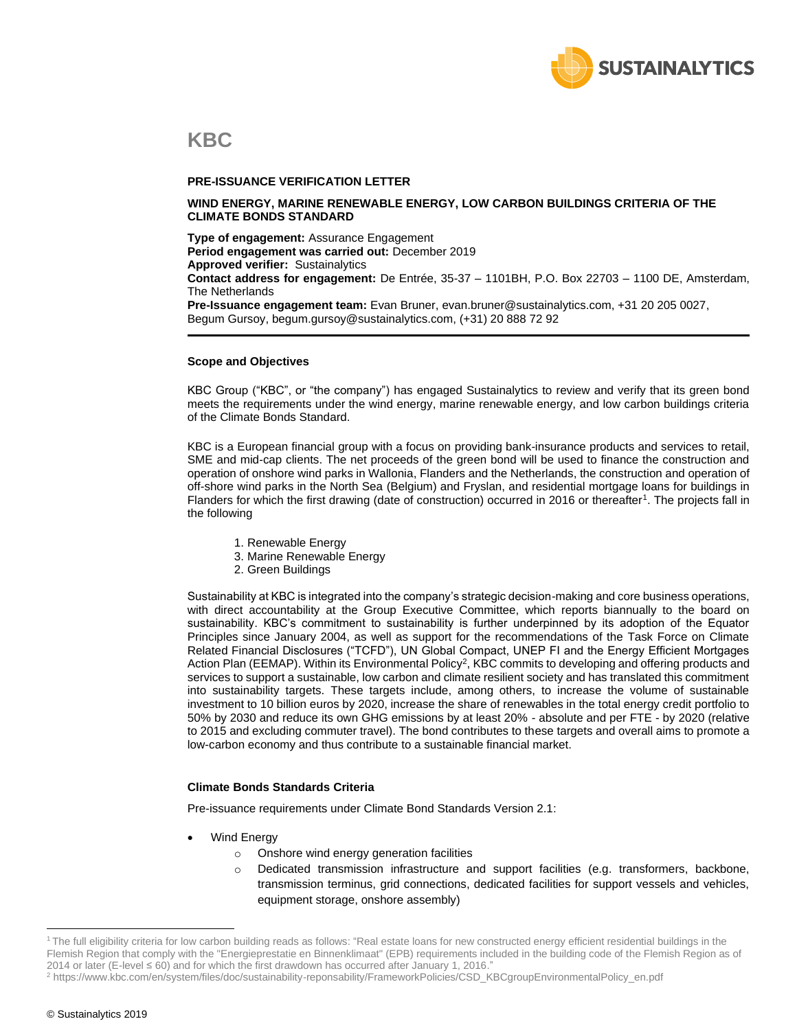

### **KBC**

#### **PRE-ISSUANCE VERIFICATION LETTER**

#### **WIND ENERGY, MARINE RENEWABLE ENERGY, LOW CARBON BUILDINGS CRITERIA OF THE CLIMATE BONDS STANDARD**

**Type of engagement:** Assurance Engagement **Period engagement was carried out:** December 2019 **Approved verifier:** Sustainalytics **Contact address for engagement:** De Entrée, 35-37 – 1101BH, P.O. Box 22703 – 1100 DE, Amsterdam, The Netherlands **Pre-Issuance engagement team:** Evan Bruner, evan.bruner@sustainalytics.com, +31 20 205 0027, Begum Gursoy, begum.gursoy@sustainalytics.com, (+31) 20 888 72 92

#### **Scope and Objectives**

KBC Group ("KBC", or "the company") has engaged Sustainalytics to review and verify that its green bond meets the requirements under the wind energy, marine renewable energy, and low carbon buildings criteria of the Climate Bonds Standard.

KBC is a European financial group with a focus on providing bank-insurance products and services to retail, SME and mid-cap clients. The net proceeds of the green bond will be used to finance the construction and operation of onshore wind parks in Wallonia, Flanders and the Netherlands, the construction and operation of off-shore wind parks in the North Sea (Belgium) and Fryslan, and residential mortgage loans for buildings in Flanders for which the first drawing (date of construction) occurred in 2016 or thereafter<sup>1</sup>. The projects fall in the following

- 1. Renewable Energy
- 3. Marine Renewable Energy
- 2. Green Buildings

Sustainability at KBC is integrated into the company's strategic decision-making and core business operations, with direct accountability at the Group Executive Committee, which reports biannually to the board on sustainability. KBC's commitment to sustainability is further underpinned by its adoption of the Equator Principles since January 2004, as well as support for the recommendations of the Task Force on Climate Related Financial Disclosures ("TCFD"), UN Global Compact, UNEP FI and the Energy Efficient Mortgages Action Plan (EEMAP). Within its Environmental Policy<sup>2</sup>, KBC commits to developing and offering products and services to support a sustainable, low carbon and climate resilient society and has translated this commitment into sustainability targets. These targets include, among others, to increase the volume of sustainable investment to 10 billion euros by 2020, increase the share of renewables in the total energy credit portfolio to 50% by 2030 and reduce its own GHG emissions by at least 20% - absolute and per FTE - by 2020 (relative to 2015 and excluding commuter travel). The bond contributes to these targets and overall aims to promote a low-carbon economy and thus contribute to a sustainable financial market.

#### **Climate Bonds Standards Criteria**

Pre-issuance requirements under Climate Bond Standards Version 2.1:

- Wind Energy
	- o Onshore wind energy generation facilities
	- o Dedicated transmission infrastructure and support facilities (e.g. transformers, backbone, transmission terminus, grid connections, dedicated facilities for support vessels and vehicles, equipment storage, onshore assembly)

<sup>&</sup>lt;sup>1</sup>The full eligibility criteria for low carbon building reads as follows: "Real estate loans for new constructed energy efficient residential buildings in the Flemish Region that comply with the "Energieprestatie en Binnenklimaat" (EPB) requirements included in the building code of the Flemish Region as of 2014 or later (E-level ≤ 60) and for which the first drawdown has occurred after January 1, 2016."

<sup>2</sup> https://www.kbc.com/en/system/files/doc/sustainability-reponsability/FrameworkPolicies/CSD\_KBCgroupEnvironmentalPolicy\_en.pdf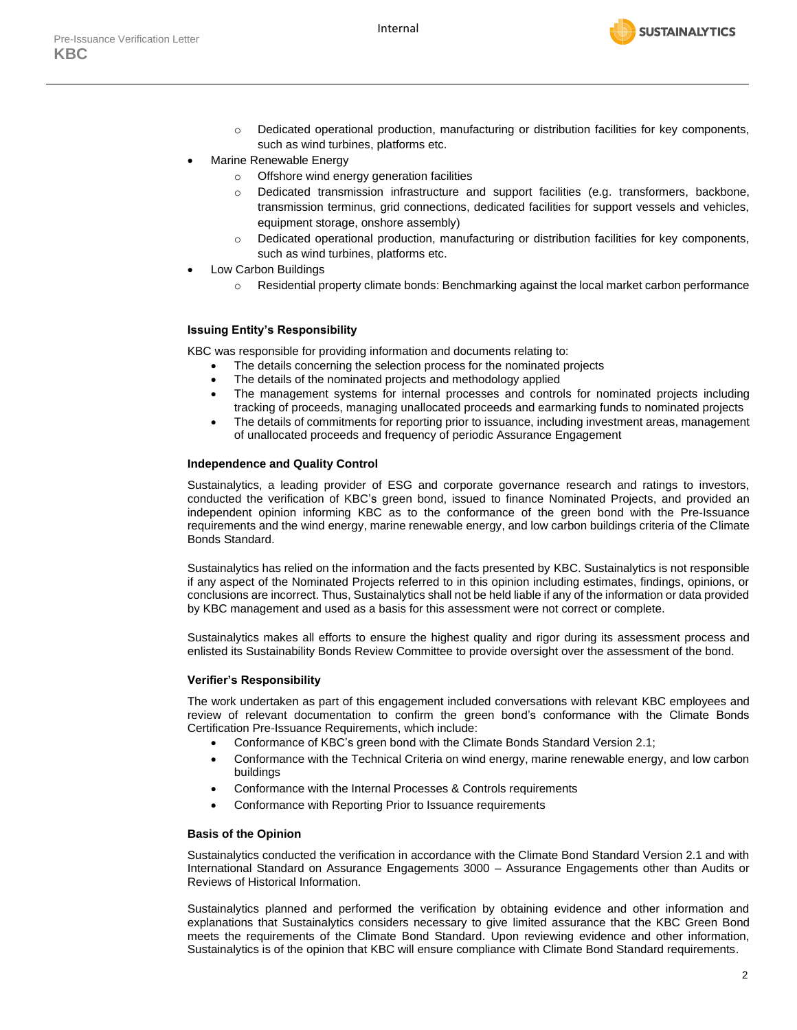

- o Dedicated operational production, manufacturing or distribution facilities for key components, such as wind turbines, platforms etc.
- Marine Renewable Energy
	- o Offshore wind energy generation facilities
	- o Dedicated transmission infrastructure and support facilities (e.g. transformers, backbone, transmission terminus, grid connections, dedicated facilities for support vessels and vehicles, equipment storage, onshore assembly)
	- $\circ$  Dedicated operational production, manufacturing or distribution facilities for key components, such as wind turbines, platforms etc.
- Low Carbon Buildings
	- o Residential property climate bonds: Benchmarking against the local market carbon performance

#### **Issuing Entity's Responsibility**

KBC was responsible for providing information and documents relating to:

- The details concerning the selection process for the nominated projects
- The details of the nominated projects and methodology applied
- The management systems for internal processes and controls for nominated projects including tracking of proceeds, managing unallocated proceeds and earmarking funds to nominated projects
- The details of commitments for reporting prior to issuance, including investment areas, management of unallocated proceeds and frequency of periodic Assurance Engagement

#### **Independence and Quality Control**

Sustainalytics, a leading provider of ESG and corporate governance research and ratings to investors, conducted the verification of KBC's green bond, issued to finance Nominated Projects, and provided an independent opinion informing KBC as to the conformance of the green bond with the Pre-Issuance requirements and the wind energy, marine renewable energy, and low carbon buildings criteria of the Climate Bonds Standard.

Sustainalytics has relied on the information and the facts presented by KBC. Sustainalytics is not responsible if any aspect of the Nominated Projects referred to in this opinion including estimates, findings, opinions, or conclusions are incorrect. Thus, Sustainalytics shall not be held liable if any of the information or data provided by KBC management and used as a basis for this assessment were not correct or complete.

Sustainalytics makes all efforts to ensure the highest quality and rigor during its assessment process and enlisted its Sustainability Bonds Review Committee to provide oversight over the assessment of the bond.

#### **Verifier's Responsibility**

The work undertaken as part of this engagement included conversations with relevant KBC employees and review of relevant documentation to confirm the green bond's conformance with the Climate Bonds Certification Pre-Issuance Requirements, which include:

- Conformance of KBC's green bond with the Climate Bonds Standard Version 2.1;
- Conformance with the Technical Criteria on wind energy, marine renewable energy, and low carbon buildings
- Conformance with the Internal Processes & Controls requirements
- Conformance with Reporting Prior to Issuance requirements

#### **Basis of the Opinion**

Sustainalytics conducted the verification in accordance with the Climate Bond Standard Version 2.1 and with International Standard on Assurance Engagements 3000 – Assurance Engagements other than Audits or Reviews of Historical Information.

Sustainalytics planned and performed the verification by obtaining evidence and other information and explanations that Sustainalytics considers necessary to give limited assurance that the KBC Green Bond meets the requirements of the Climate Bond Standard. Upon reviewing evidence and other information, Sustainalytics is of the opinion that KBC will ensure compliance with Climate Bond Standard requirements.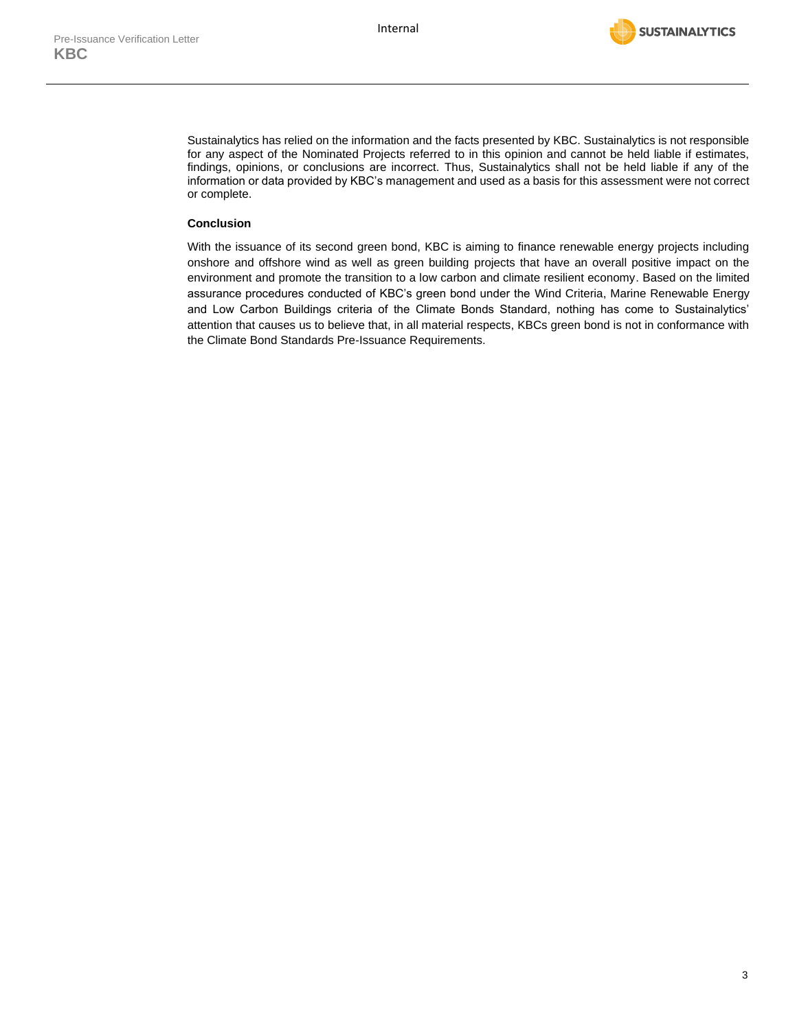

Sustainalytics has relied on the information and the facts presented by KBC. Sustainalytics is not responsible for any aspect of the Nominated Projects referred to in this opinion and cannot be held liable if estimates, findings, opinions, or conclusions are incorrect. Thus, Sustainalytics shall not be held liable if any of the information or data provided by KBC's management and used as a basis for this assessment were not correct or complete.

#### **Conclusion**

With the issuance of its second green bond, KBC is aiming to finance renewable energy projects including onshore and offshore wind as well as green building projects that have an overall positive impact on the environment and promote the transition to a low carbon and climate resilient economy. Based on the limited assurance procedures conducted of KBC's green bond under the Wind Criteria, Marine Renewable Energy and Low Carbon Buildings criteria of the Climate Bonds Standard, nothing has come to Sustainalytics' attention that causes us to believe that, in all material respects, KBCs green bond is not in conformance with the Climate Bond Standards Pre-Issuance Requirements.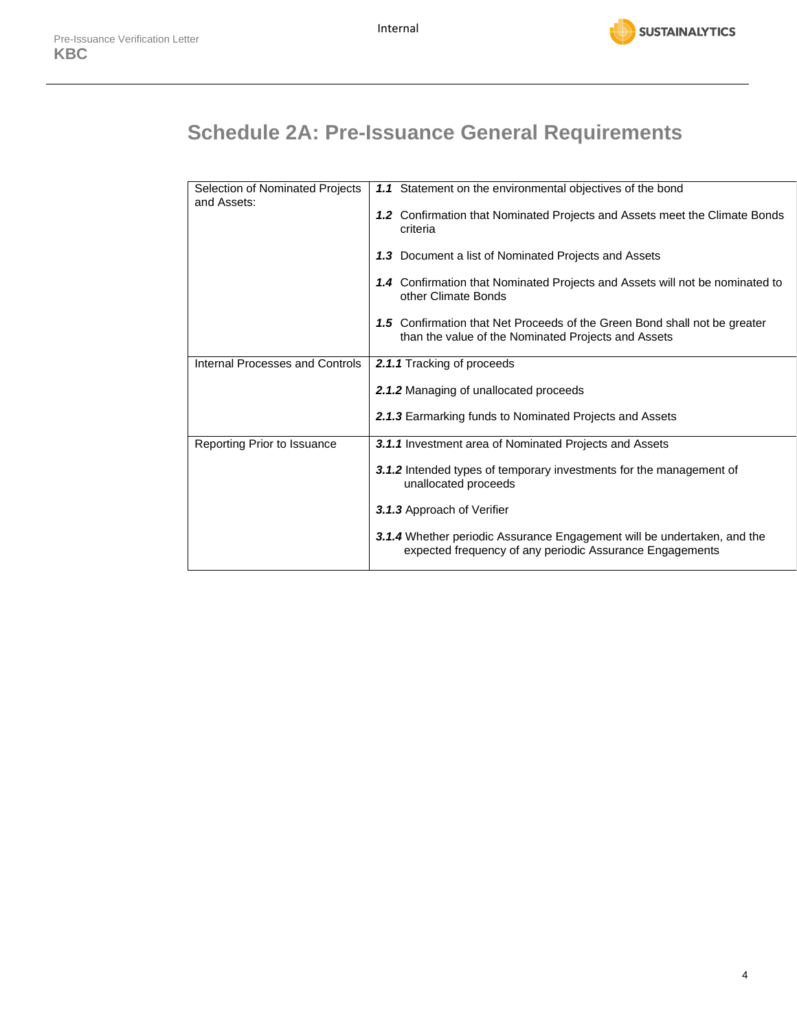

# **Schedule 2A: Pre-Issuance General Requirements**

| Selection of Nominated Projects<br>and Assets: | 1.1 Statement on the environmental objectives of the bond                                                                           |
|------------------------------------------------|-------------------------------------------------------------------------------------------------------------------------------------|
|                                                | 1.2 Confirmation that Nominated Projects and Assets meet the Climate Bonds<br>criteria                                              |
|                                                | 1.3 Document a list of Nominated Projects and Assets                                                                                |
|                                                | 1.4 Confirmation that Nominated Projects and Assets will not be nominated to<br>other Climate Bonds                                 |
|                                                | 1.5 Confirmation that Net Proceeds of the Green Bond shall not be greater<br>than the value of the Nominated Projects and Assets    |
| Internal Processes and Controls                | 2.1.1 Tracking of proceeds                                                                                                          |
|                                                | 2.1.2 Managing of unallocated proceeds                                                                                              |
|                                                | 2.1.3 Earmarking funds to Nominated Projects and Assets                                                                             |
| Reporting Prior to Issuance                    | 3.1.1 Investment area of Nominated Projects and Assets                                                                              |
|                                                | 3.1.2 Intended types of temporary investments for the management of<br>unallocated proceeds                                         |
|                                                | 3.1.3 Approach of Verifier                                                                                                          |
|                                                | 3.1.4 Whether periodic Assurance Engagement will be undertaken, and the<br>expected frequency of any periodic Assurance Engagements |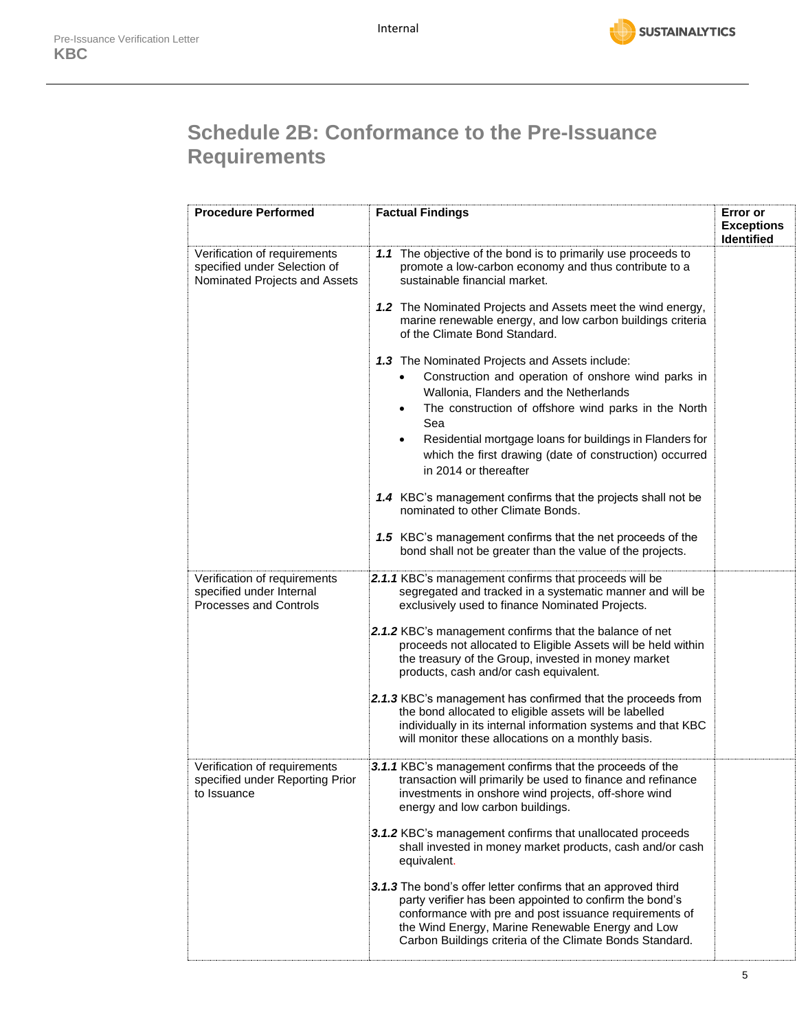

# **Schedule 2B: Conformance to the Pre-Issuance Requirements**

| <b>Procedure Performed</b>                                                                    | <b>Factual Findings</b>                                                                                                                                                                                                                                                                                                                                                                  | Error or<br><b>Exceptions</b><br><b>Identified</b> |
|-----------------------------------------------------------------------------------------------|------------------------------------------------------------------------------------------------------------------------------------------------------------------------------------------------------------------------------------------------------------------------------------------------------------------------------------------------------------------------------------------|----------------------------------------------------|
| Verification of requirements<br>specified under Selection of<br>Nominated Projects and Assets | 1.1 The objective of the bond is to primarily use proceeds to<br>promote a low-carbon economy and thus contribute to a<br>sustainable financial market.                                                                                                                                                                                                                                  |                                                    |
|                                                                                               | 1.2 The Nominated Projects and Assets meet the wind energy,<br>marine renewable energy, and low carbon buildings criteria<br>of the Climate Bond Standard.                                                                                                                                                                                                                               |                                                    |
|                                                                                               | 1.3 The Nominated Projects and Assets include:<br>Construction and operation of onshore wind parks in<br>Wallonia, Flanders and the Netherlands<br>The construction of offshore wind parks in the North<br>$\bullet$<br>Sea<br>Residential mortgage loans for buildings in Flanders for<br>$\bullet$<br>which the first drawing (date of construction) occurred<br>in 2014 or thereafter |                                                    |
|                                                                                               | 1.4 KBC's management confirms that the projects shall not be<br>nominated to other Climate Bonds.                                                                                                                                                                                                                                                                                        |                                                    |
|                                                                                               | 1.5 KBC's management confirms that the net proceeds of the<br>bond shall not be greater than the value of the projects.                                                                                                                                                                                                                                                                  |                                                    |
| Verification of requirements<br>specified under Internal<br><b>Processes and Controls</b>     | 2.1.1 KBC's management confirms that proceeds will be<br>segregated and tracked in a systematic manner and will be<br>exclusively used to finance Nominated Projects.<br>2.1.2 KBC's management confirms that the balance of net                                                                                                                                                         |                                                    |
|                                                                                               | proceeds not allocated to Eligible Assets will be held within<br>the treasury of the Group, invested in money market<br>products, cash and/or cash equivalent.                                                                                                                                                                                                                           |                                                    |
|                                                                                               | 2.1.3 KBC's management has confirmed that the proceeds from<br>the bond allocated to eligible assets will be labelled<br>individually in its internal information systems and that KBC<br>will monitor these allocations on a monthly basis.                                                                                                                                             |                                                    |
| Verification of requirements<br>specified under Reporting Prior<br>to Issuance                | 3.1.1 KBC's management confirms that the proceeds of the<br>transaction will primarily be used to finance and refinance<br>investments in onshore wind projects, off-shore wind<br>energy and low carbon buildings.                                                                                                                                                                      |                                                    |
|                                                                                               | 3.1.2 KBC's management confirms that unallocated proceeds<br>shall invested in money market products, cash and/or cash<br>equivalent.                                                                                                                                                                                                                                                    |                                                    |
|                                                                                               | 3.1.3 The bond's offer letter confirms that an approved third<br>party verifier has been appointed to confirm the bond's<br>conformance with pre and post issuance requirements of<br>the Wind Energy, Marine Renewable Energy and Low<br>Carbon Buildings criteria of the Climate Bonds Standard.                                                                                       |                                                    |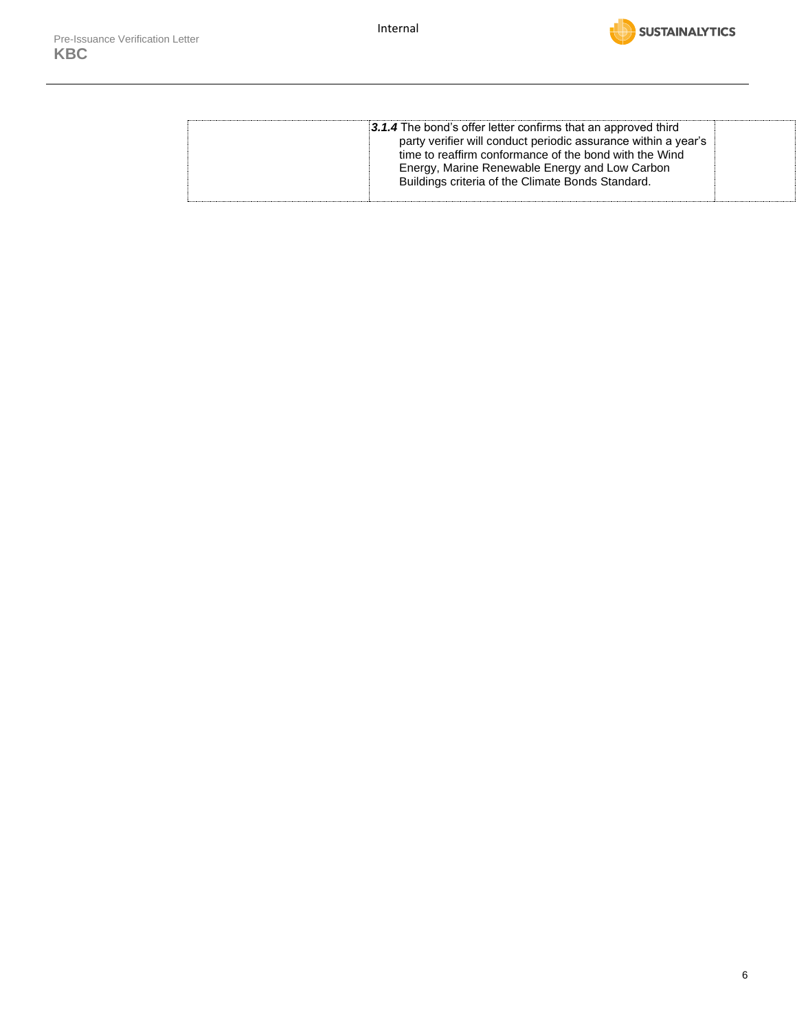

| Energy, Marine Renewable Energy and Low Carbon<br>Buildings criteria of the Climate Bonds Standard. |  | 3.1.4 The bond's offer letter confirms that an approved third<br>party verifier will conduct periodic assurance within a year's<br>time to reaffirm conformance of the bond with the Wind |  |
|-----------------------------------------------------------------------------------------------------|--|-------------------------------------------------------------------------------------------------------------------------------------------------------------------------------------------|--|
|-----------------------------------------------------------------------------------------------------|--|-------------------------------------------------------------------------------------------------------------------------------------------------------------------------------------------|--|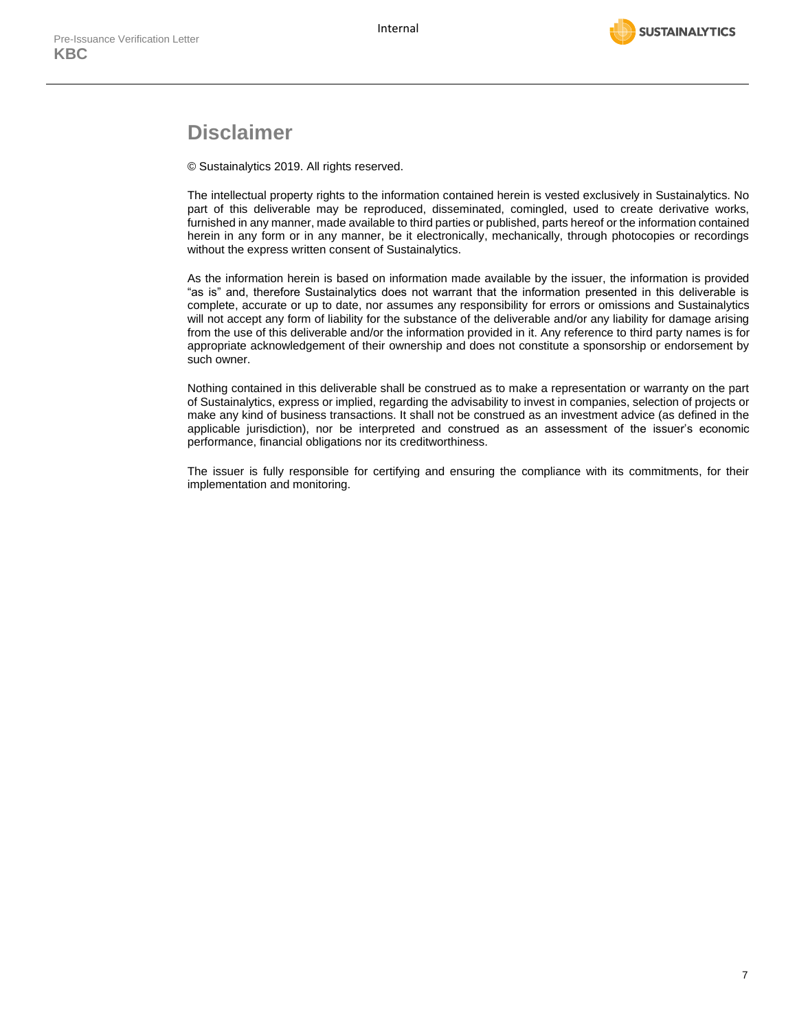

### **Disclaimer**

© Sustainalytics 2019. All rights reserved.

The intellectual property rights to the information contained herein is vested exclusively in Sustainalytics. No part of this deliverable may be reproduced, disseminated, comingled, used to create derivative works, furnished in any manner, made available to third parties or published, parts hereof or the information contained herein in any form or in any manner, be it electronically, mechanically, through photocopies or recordings without the express written consent of Sustainalytics.

As the information herein is based on information made available by the issuer, the information is provided "as is" and, therefore Sustainalytics does not warrant that the information presented in this deliverable is complete, accurate or up to date, nor assumes any responsibility for errors or omissions and Sustainalytics will not accept any form of liability for the substance of the deliverable and/or any liability for damage arising from the use of this deliverable and/or the information provided in it. Any reference to third party names is for appropriate acknowledgement of their ownership and does not constitute a sponsorship or endorsement by such owner.

Nothing contained in this deliverable shall be construed as to make a representation or warranty on the part of Sustainalytics, express or implied, regarding the advisability to invest in companies, selection of projects or make any kind of business transactions. It shall not be construed as an investment advice (as defined in the applicable jurisdiction), nor be interpreted and construed as an assessment of the issuer's economic performance, financial obligations nor its creditworthiness.

The issuer is fully responsible for certifying and ensuring the compliance with its commitments, for their implementation and monitoring.